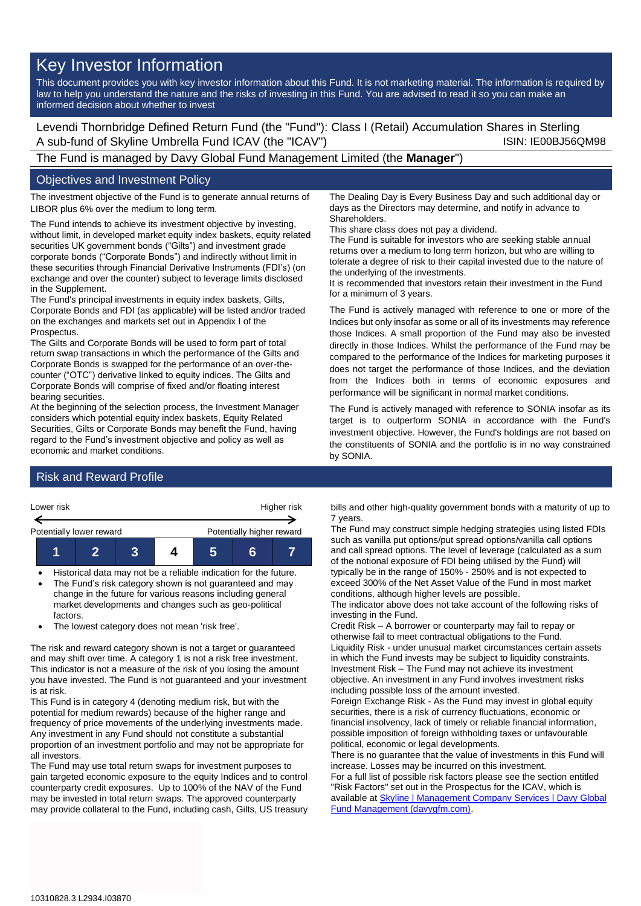# Key Investor Information

This document provides you with key investor information about this Fund. It is not marketing material. The information is required by law to help you understand the nature and the risks of investing in this Fund. You are advised to read it so you can make an informed decision about whether to invest

Levendi Thornbridge Defined Return Fund (the "Fund"): Class I (Retail) Accumulation Shares in Sterling A sub-fund of Skyline Umbrella Fund ICAV (the "ICAV") ISIN: IE00BJ56QM98

The Fund is managed by Davy Global Fund Management Limited (the **Manager**")

### Objectives and Investment Policy

The investment objective of the Fund is to generate annual returns of LIBOR plus 6% over the medium to long term.

The Fund intends to achieve its investment objective by investing, without limit, in developed market equity index baskets, equity related securities UK government bonds ("Gilts") and investment grade corporate bonds ("Corporate Bonds") and indirectly without limit in these securities through Financial Derivative Instruments (FDI's) (on exchange and over the counter) subject to leverage limits disclosed in the Supplement.

The Fund's principal investments in equity index baskets, Gilts, Corporate Bonds and FDI (as applicable) will be listed and/or traded on the exchanges and markets set out in Appendix I of the Prospectus.

The Gilts and Corporate Bonds will be used to form part of total return swap transactions in which the performance of the Gilts and Corporate Bonds is swapped for the performance of an over-thecounter ("OTC") derivative linked to equity indices. The Gilts and Corporate Bonds will comprise of fixed and/or floating interest bearing securities.

At the beginning of the selection process, the Investment Manager considers which potential equity index baskets, Equity Related Securities, Gilts or Corporate Bonds may benefit the Fund, having regard to the Fund's investment objective and policy as well as economic and market conditions.

The Dealing Day is Every Business Day and such additional day or days as the Directors may determine, and notify in advance to **Shareholders** 

This share class does not pay a dividend.

The Fund is suitable for investors who are seeking stable annual returns over a medium to long term horizon, but who are willing to tolerate a degree of risk to their capital invested due to the nature of the underlying of the investments.

It is recommended that investors retain their investment in the Fund for a minimum of 3 years.

The Fund is actively managed with reference to one or more of the Indices but only insofar as some or all of its investments may reference those Indices. A small proportion of the Fund may also be invested directly in those Indices. Whilst the performance of the Fund may be compared to the performance of the Indices for marketing purposes it does not target the performance of those Indices, and the deviation from the Indices both in terms of economic exposures and performance will be significant in normal market conditions.

The Fund is actively managed with reference to SONIA insofar as its target is to outperform SONIA in accordance with the Fund's investment objective. However, the Fund's holdings are not based on the constituents of SONIA and the portfolio is in no way constrained by SONIA.

## Risk and Reward Profile



- Historical data may not be a reliable indication for the future. • The Fund's risk category shown is not guaranteed and may change in the future for various reasons including general
- market developments and changes such as geo-political factors.
- The lowest category does not mean 'risk free'.

The risk and reward category shown is not a target or guaranteed and may shift over time. A category 1 is not a risk free investment. This indicator is not a measure of the risk of you losing the amount you have invested. The Fund is not guaranteed and your investment is at risk.

This Fund is in category 4 (denoting medium risk, but with the potential for medium rewards) because of the higher range and frequency of price movements of the underlying investments made. Any investment in any Fund should not constitute a substantial proportion of an investment portfolio and may not be appropriate for all investors.

The Fund may use total return swaps for investment purposes to gain targeted economic exposure to the equity Indices and to control counterparty credit exposures. Up to 100% of the NAV of the Fund may be invested in total return swaps. The approved counterparty may provide collateral to the Fund, including cash, Gilts, US treasury

bills and other high-quality government bonds with a maturity of up to 7 years.

The Fund may construct simple hedging strategies using listed FDIs such as vanilla put options/put spread options/vanilla call options and call spread options. The level of leverage (calculated as a sum of the notional exposure of FDI being utilised by the Fund) will typically be in the range of 150% - 250% and is not expected to exceed 300% of the Net Asset Value of the Fund in most market conditions, although higher levels are possible.

The indicator above does not take account of the following risks of investing in the Fund.

Credit Risk – A borrower or counterparty may fail to repay or otherwise fail to meet contractual obligations to the Fund. Liquidity Risk - under unusual market circumstances certain assets in which the Fund invests may be subject to liquidity constraints. Investment Risk – The Fund may not achieve its investment objective. An investment in any Fund involves investment risks including possible loss of the amount invested.

Foreign Exchange Risk - As the Fund may invest in global equity securities, there is a risk of currency fluctuations, economic or financial insolvency, lack of timely or reliable financial information, possible imposition of foreign withholding taxes or unfavourable political, economic or legal developments.

There is no guarantee that the value of investments in this Fund will increase. Losses may be incurred on this investment.

For a full list of possible risk factors please see the section entitled "Risk Factors" set out in the Prospectus for the ICAV, which is available a[t Skyline | Management Company Services | Davy Global](https://www.davygfm.com/funds-factsheets/management-company-services/ireland/skyline.html)  [Fund Management \(davygfm.com\).](https://www.davygfm.com/funds-factsheets/management-company-services/ireland/skyline.html)